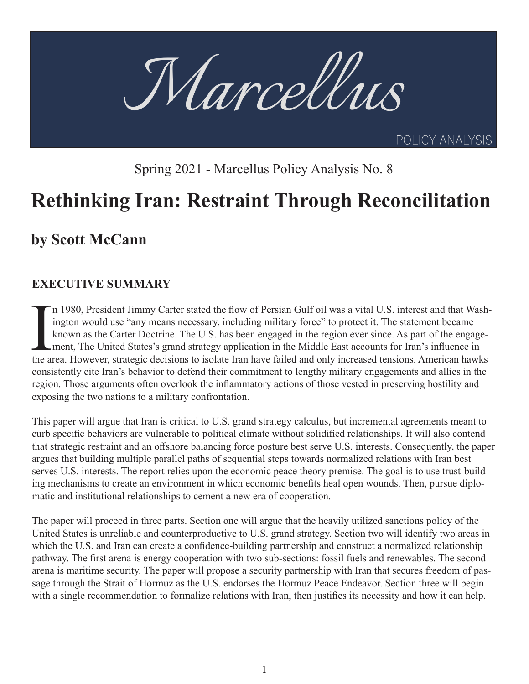

Spring 2021 - Marcellus Policy Analysis No. 8

# **Rethinking Iran: Restraint Through Reconcilitation**

# **by Scott McCann**

## **EXECUTIVE SUMMARY**

In 1980, President Jimmy Carter stated the flow of Persian Gulf oil was a vital U.S. interest and that Washington would use "any means necessary, including military force" to protect it. The statement became known as the C n 1980, President Jimmy Carter stated the flow of Persian Gulf oil was a vital U.S. interest and that Washington would use "any means necessary, including military force" to protect it. The statement became known as the Carter Doctrine. The U.S. has been engaged in the region ever since. As part of the engagement, The United States's grand strategy application in the Middle East accounts for Iran's influence in consistently cite Iran's behavior to defend their commitment to lengthy military engagements and allies in the region. Those arguments often overlook the inflammatory actions of those vested in preserving hostility and exposing the two nations to a military confrontation.

This paper will argue that Iran is critical to U.S. grand strategy calculus, but incremental agreements meant to curb specific behaviors are vulnerable to political climate without solidified relationships. It will also contend that strategic restraint and an offshore balancing force posture best serve U.S. interests. Consequently, the paper argues that building multiple parallel paths of sequential steps towards normalized relations with Iran best serves U.S. interests. The report relies upon the economic peace theory premise. The goal is to use trust-building mechanisms to create an environment in which economic benefits heal open wounds. Then, pursue diplomatic and institutional relationships to cement a new era of cooperation.

The paper will proceed in three parts. Section one will argue that the heavily utilized sanctions policy of the United States is unreliable and counterproductive to U.S. grand strategy. Section two will identify two areas in which the U.S. and Iran can create a confidence-building partnership and construct a normalized relationship pathway. The first arena is energy cooperation with two sub-sections: fossil fuels and renewables. The second arena is maritime security. The paper will propose a security partnership with Iran that secures freedom of passage through the Strait of Hormuz as the U.S. endorses the Hormuz Peace Endeavor. Section three will begin with a single recommendation to formalize relations with Iran, then justifies its necessity and how it can help.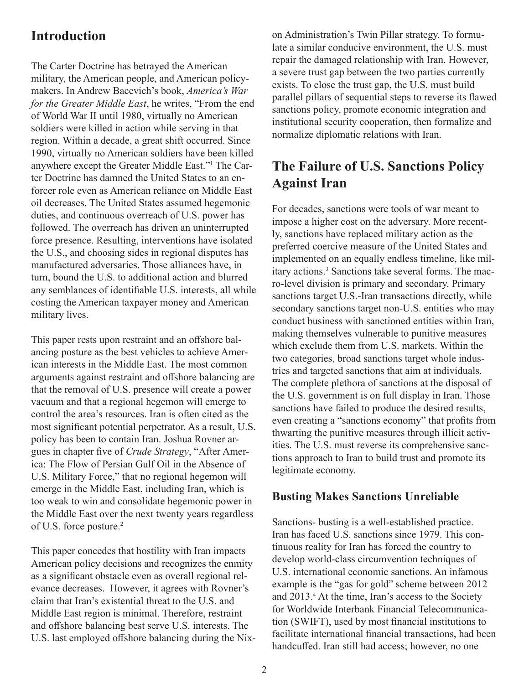### **Introduction**

The Carter Doctrine has betrayed the American military, the American people, and American policymakers. In Andrew Bacevich's book, *America's War for the Greater Middle East*, he writes, "From the end of World War II until 1980, virtually no American soldiers were killed in action while serving in that region. Within a decade, a great shift occurred. Since 1990, virtually no American soldiers have been killed anywhere except the Greater Middle East."<sup>1</sup> The Carter Doctrine has damned the United States to an enforcer role even as American reliance on Middle East oil decreases. The United States assumed hegemonic duties, and continuous overreach of U.S. power has followed. The overreach has driven an uninterrupted force presence. Resulting, interventions have isolated the U.S., and choosing sides in regional disputes has manufactured adversaries. Those alliances have, in turn, bound the U.S. to additional action and blurred any semblances of identifiable U.S. interests, all while costing the American taxpayer money and American military lives.

This paper rests upon restraint and an offshore balancing posture as the best vehicles to achieve American interests in the Middle East. The most common arguments against restraint and offshore balancing are that the removal of U.S. presence will create a power vacuum and that a regional hegemon will emerge to control the area's resources. Iran is often cited as the most significant potential perpetrator. As a result, U.S. policy has been to contain Iran. Joshua Rovner argues in chapter five of *Crude Strategy*, "After America: The Flow of Persian Gulf Oil in the Absence of U.S. Military Force," that no regional hegemon will emerge in the Middle East, including Iran, which is too weak to win and consolidate hegemonic power in the Middle East over the next twenty years regardless of U.S. force posture.<sup>2</sup>

This paper concedes that hostility with Iran impacts American policy decisions and recognizes the enmity as a significant obstacle even as overall regional relevance decreases. However, it agrees with Rovner's claim that Iran's existential threat to the U.S. and Middle East region is minimal. Therefore, restraint and offshore balancing best serve U.S. interests. The U.S. last employed offshore balancing during the Nixon Administration's Twin Pillar strategy. To formulate a similar conducive environment, the U.S. must repair the damaged relationship with Iran. However, a severe trust gap between the two parties currently exists. To close the trust gap, the U.S. must build parallel pillars of sequential steps to reverse its flawed sanctions policy, promote economic integration and institutional security cooperation, then formalize and normalize diplomatic relations with Iran.

# **The Failure of U.S. Sanctions Policy Against Iran**

For decades, sanctions were tools of war meant to impose a higher cost on the adversary. More recently, sanctions have replaced military action as the preferred coercive measure of the United States and implemented on an equally endless timeline, like military actions.3 Sanctions take several forms. The macro-level division is primary and secondary. Primary sanctions target U.S.-Iran transactions directly, while secondary sanctions target non-U.S. entities who may conduct business with sanctioned entities within Iran, making themselves vulnerable to punitive measures which exclude them from U.S. markets. Within the two categories, broad sanctions target whole industries and targeted sanctions that aim at individuals. The complete plethora of sanctions at the disposal of the U.S. government is on full display in Iran. Those sanctions have failed to produce the desired results, even creating a "sanctions economy" that profits from thwarting the punitive measures through illicit activities. The U.S. must reverse its comprehensive sanctions approach to Iran to build trust and promote its legitimate economy.

#### **Busting Makes Sanctions Unreliable**

Sanctions- busting is a well-established practice. Iran has faced U.S. sanctions since 1979. This continuous reality for Iran has forced the country to develop world-class circumvention techniques of U.S. international economic sanctions. An infamous example is the "gas for gold" scheme between 2012 and 2013.<sup>4</sup> At the time, Iran's access to the Society for Worldwide Interbank Financial Telecommunication (SWIFT), used by most financial institutions to facilitate international financial transactions, had been handcuffed. Iran still had access; however, no one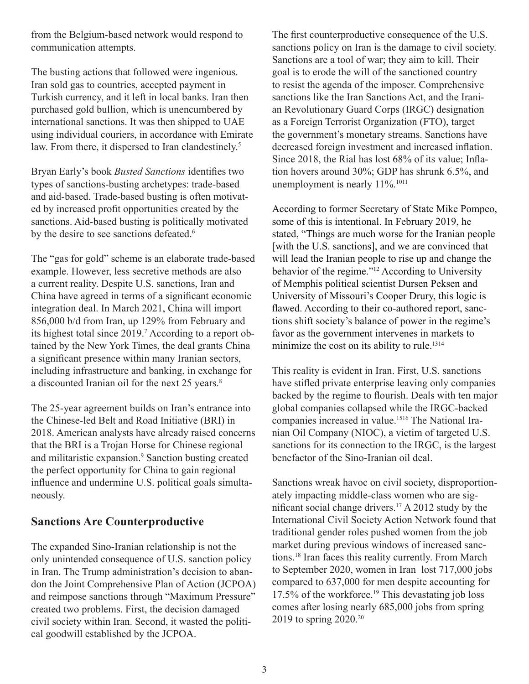from the Belgium-based network would respond to communication attempts.

The busting actions that followed were ingenious. Iran sold gas to countries, accepted payment in Turkish currency, and it left in local banks. Iran then purchased gold bullion, which is unencumbered by international sanctions. It was then shipped to UAE using individual couriers, in accordance with Emirate law. From there, it dispersed to Iran clandestinely.<sup>5</sup>

Bryan Early's book *Busted Sanctions* identifies two types of sanctions-busting archetypes: trade-based and aid-based. Trade-based busting is often motivated by increased profit opportunities created by the sanctions. Aid-based busting is politically motivated by the desire to see sanctions defeated.<sup>6</sup>

The "gas for gold" scheme is an elaborate trade-based example. However, less secretive methods are also a current reality. Despite U.S. sanctions, Iran and China have agreed in terms of a significant economic integration deal. In March 2021, China will import 856,000 b/d from Iran, up 129% from February and its highest total since 2019.<sup>7</sup> According to a report obtained by the New York Times, the deal grants China a significant presence within many Iranian sectors, including infrastructure and banking, in exchange for a discounted Iranian oil for the next 25 years.<sup>8</sup>

The 25-year agreement builds on Iran's entrance into the Chinese-led Belt and Road Initiative (BRI) in 2018. American analysts have already raised concerns that the BRI is a Trojan Horse for Chinese regional and militaristic expansion.<sup>9</sup> Sanction busting created the perfect opportunity for China to gain regional influence and undermine U.S. political goals simultaneously.

#### **Sanctions Are Counterproductive**

The expanded Sino-Iranian relationship is not the only unintended consequence of U.S. sanction policy in Iran. The Trump administration's decision to abandon the Joint Comprehensive Plan of Action (JCPOA) and reimpose sanctions through "Maximum Pressure" created two problems. First, the decision damaged civil society within Iran. Second, it wasted the political goodwill established by the JCPOA.

The first counterproductive consequence of the U.S. sanctions policy on Iran is the damage to civil society. Sanctions are a tool of war; they aim to kill. Their goal is to erode the will of the sanctioned country to resist the agenda of the imposer. Comprehensive sanctions like the Iran Sanctions Act, and the Iranian Revolutionary Guard Corps (IRGC) designation as a Foreign Terrorist Organization (FTO), target the government's monetary streams. Sanctions have decreased foreign investment and increased inflation. Since 2018, the Rial has lost 68% of its value; Inflation hovers around 30%; GDP has shrunk 6.5%, and unemployment is nearly 11%.<sup>1011</sup>

According to former Secretary of State Mike Pompeo, some of this is intentional. In February 2019, he stated, "Things are much worse for the Iranian people [with the U.S. sanctions], and we are convinced that will lead the Iranian people to rise up and change the behavior of the regime."<sup>12</sup> According to University of Memphis political scientist Dursen Peksen and University of Missouri's Cooper Drury, this logic is flawed. According to their co-authored report, sanctions shift society's balance of power in the regime's favor as the government intervenes in markets to minimize the cost on its ability to rule.<sup>1314</sup>

This reality is evident in Iran. First, U.S. sanctions have stifled private enterprise leaving only companies backed by the regime to flourish. Deals with ten major global companies collapsed while the IRGC-backed companies increased in value.1516 The National Iranian Oil Company (NIOC), a victim of targeted U.S. sanctions for its connection to the IRGC, is the largest benefactor of the Sino-Iranian oil deal.

Sanctions wreak havoc on civil society, disproportionately impacting middle-class women who are significant social change drivers.<sup>17</sup> A 2012 study by the International Civil Society Action Network found that traditional gender roles pushed women from the job market during previous windows of increased sanctions.18 Iran faces this reality currently. From March to September 2020, women in Iran lost 717,000 jobs compared to 637,000 for men despite accounting for 17.5% of the workforce.<sup>19</sup> This devastating job loss comes after losing nearly 685,000 jobs from spring 2019 to spring 2020.20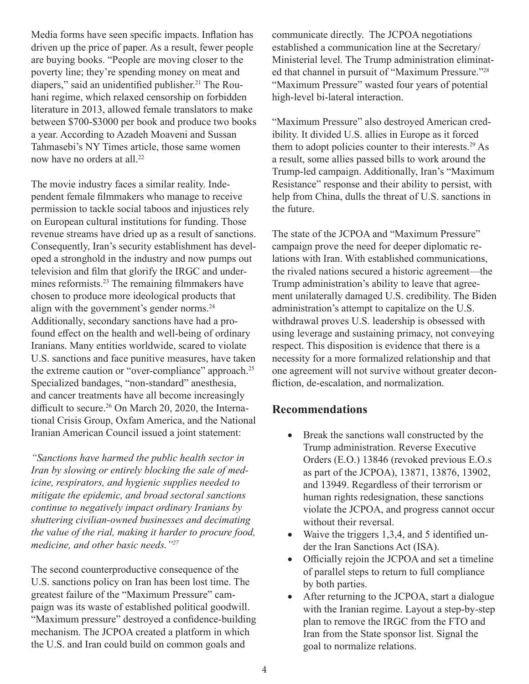Media forms have seen specific impacts. Inflation has driven up the price of paper. As a result, fewer people are buying books. "People are moving closer to the poverty line; they're spending money on meat and diapers," said an unidentified publisher.<sup>21</sup> The Rouhani regime, which relaxed censorship on forbidden literature in 2013, allowed female translators to make between \$700-\$3000 per book and produce two books a year. According to Azadeh Moaveni and Sussan Tahmasebi's NY Times article, those same women now have no orders at all.<sup>22</sup>

The movie industry faces a similar reality. Independent female filmmakers who manage to receive permission to tackle social taboos and injustices rely on European cultural institutions for funding. Those revenue streams have dried up as a result of sanctions. Consequently, Iran's security establishment has developed a stronghold in the industry and now pumps out television and film that glorify the IRGC and undermines reformists.<sup>23</sup> The remaining filmmakers have chosen to produce more ideological products that align with the government's gender norms.<sup>24</sup> Additionally, secondary sanctions have had a profound effect on the health and well-being of ordinary Iranians. Many entities worldwide, scared to violate U.S. sanctions and face punitive measures, have taken the extreme caution or "over-compliance" approach.<sup>25</sup> Specialized bandages, "non-standard" anesthesia, and cancer treatments have all become increasingly difficult to secure.<sup>26</sup> On March 20, 2020, the International Crisis Group, Oxfam America, and the National Iranian American Council issued a joint statement:

*"Sanctions have harmed the public health sector in Iran by slowing or entirely blocking the sale of medicine, respirators, and hygienic supplies needed to mitigate the epidemic, and broad sectoral sanctions continue to negatively impact ordinary Iranians by shuttering civilian-owned businesses and decimating the value of the rial, making it harder to procure food, medicine, and other basic needs."27*

The second counterproductive consequence of the U.S. sanctions policy on Iran has been lost time. The greatest failure of the "Maximum Pressure" campaign was its waste of established political goodwill. "Maximum pressure" destroyed a confidence-building mechanism. The JCPOA created a platform in which the U.S. and Iran could build on common goals and

communicate directly. The JCPOA negotiations established a communication line at the Secretary/ Ministerial level. The Trump administration eliminated that channel in pursuit of "Maximum Pressure."<sup>28</sup> "Maximum Pressure" wasted four years of potential high-level bi-lateral interaction.

"Maximum Pressure" also destroyed American credibility. It divided U.S. allies in Europe as it forced them to adopt policies counter to their interests.<sup>29</sup> As a result, some allies passed bills to work around the Trump-led campaign. Additionally, Iran's "Maximum Resistance" response and their ability to persist, with help from China, dulls the threat of U.S. sanctions in the future.

The state of the JCPOA and "Maximum Pressure" campaign prove the need for deeper diplomatic relations with Iran. With established communications, the rivaled nations secured a historic agreement—the Trump administration's ability to leave that agreement unilaterally damaged U.S. credibility. The Biden administration's attempt to capitalize on the U.S. withdrawal proves U.S. leadership is obsessed with using leverage and sustaining primacy, not conveying respect. This disposition is evidence that there is a necessity for a more formalized relationship and that one agreement will not survive without greater deconfliction, de-escalation, and normalization.

#### **Recommendations**

- Break the sanctions wall constructed by the Trump administration. Reverse Executive Orders (E.O.) 13846 (revoked previous E.O.s as part of the JCPOA), 13871, 13876, 13902, and 13949. Regardless of their terrorism or human rights redesignation, these sanctions violate the JCPOA, and progress cannot occur without their reversal.
- Waive the triggers 1,3,4, and 5 identified under the Iran Sanctions Act (ISA).
- Officially rejoin the JCPOA and set a timeline of parallel steps to return to full compliance by both parties.
- After returning to the JCPOA, start a dialogue with the Iranian regime. Layout a step-by-step plan to remove the IRGC from the FTO and Iran from the State sponsor list. Signal the goal to normalize relations.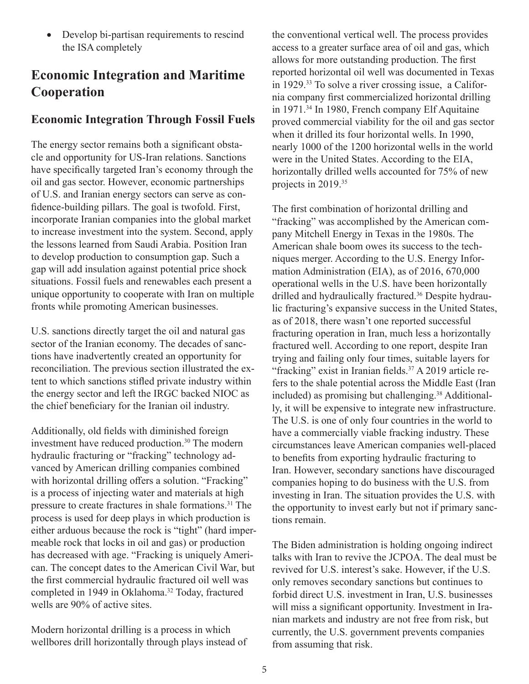• Develop bi-partisan requirements to rescind the ISA completely

# **Economic Integration and Maritime Cooperation**

#### **Economic Integration Through Fossil Fuels**

The energy sector remains both a significant obstacle and opportunity for US-Iran relations. Sanctions have specifically targeted Iran's economy through the oil and gas sector. However, economic partnerships of U.S. and Iranian energy sectors can serve as confidence-building pillars. The goal is twofold. First, incorporate Iranian companies into the global market to increase investment into the system. Second, apply the lessons learned from Saudi Arabia. Position Iran to develop production to consumption gap. Such a gap will add insulation against potential price shock situations. Fossil fuels and renewables each present a unique opportunity to cooperate with Iran on multiple fronts while promoting American businesses.

U.S. sanctions directly target the oil and natural gas sector of the Iranian economy. The decades of sanctions have inadvertently created an opportunity for reconciliation. The previous section illustrated the extent to which sanctions stifled private industry within the energy sector and left the IRGC backed NIOC as the chief beneficiary for the Iranian oil industry.

Additionally, old fields with diminished foreign investment have reduced production.<sup>30</sup> The modern hydraulic fracturing or "fracking" technology advanced by American drilling companies combined with horizontal drilling offers a solution. "Fracking" is a process of injecting water and materials at high pressure to create fractures in shale formations.<sup>31</sup> The process is used for deep plays in which production is either arduous because the rock is "tight" (hard impermeable rock that locks in oil and gas) or production has decreased with age. "Fracking is uniquely American. The concept dates to the American Civil War, but the first commercial hydraulic fractured oil well was completed in 1949 in Oklahoma.<sup>32</sup> Today, fractured wells are 90% of active sites.

Modern horizontal drilling is a process in which wellbores drill horizontally through plays instead of the conventional vertical well. The process provides access to a greater surface area of oil and gas, which allows for more outstanding production. The first reported horizontal oil well was documented in Texas in 1929.33 To solve a river crossing issue, a California company first commercialized horizontal drilling in 1971.<sup>34</sup> In 1980, French company Elf Aquitaine proved commercial viability for the oil and gas sector when it drilled its four horizontal wells. In 1990, nearly 1000 of the 1200 horizontal wells in the world were in the United States. According to the EIA, horizontally drilled wells accounted for 75% of new projects in 2019.<sup>35</sup>

The first combination of horizontal drilling and "fracking" was accomplished by the American company Mitchell Energy in Texas in the 1980s. The American shale boom owes its success to the techniques merger. According to the U.S. Energy Information Administration (EIA), as of 2016, 670,000 operational wells in the U.S. have been horizontally drilled and hydraulically fractured.<sup>36</sup> Despite hydraulic fracturing's expansive success in the United States, as of 2018, there wasn't one reported successful fracturing operation in Iran, much less a horizontally fractured well. According to one report, despite Iran trying and failing only four times, suitable layers for "fracking" exist in Iranian fields.<sup>37</sup> A 2019 article refers to the shale potential across the Middle East (Iran included) as promising but challenging.<sup>38</sup> Additionally, it will be expensive to integrate new infrastructure. The U.S. is one of only four countries in the world to have a commercially viable fracking industry. These circumstances leave American companies well-placed to benefits from exporting hydraulic fracturing to Iran. However, secondary sanctions have discouraged companies hoping to do business with the U.S. from investing in Iran. The situation provides the U.S. with the opportunity to invest early but not if primary sanctions remain.

The Biden administration is holding ongoing indirect talks with Iran to revive the JCPOA. The deal must be revived for U.S. interest's sake. However, if the U.S. only removes secondary sanctions but continues to forbid direct U.S. investment in Iran, U.S. businesses will miss a significant opportunity. Investment in Iranian markets and industry are not free from risk, but currently, the U.S. government prevents companies from assuming that risk.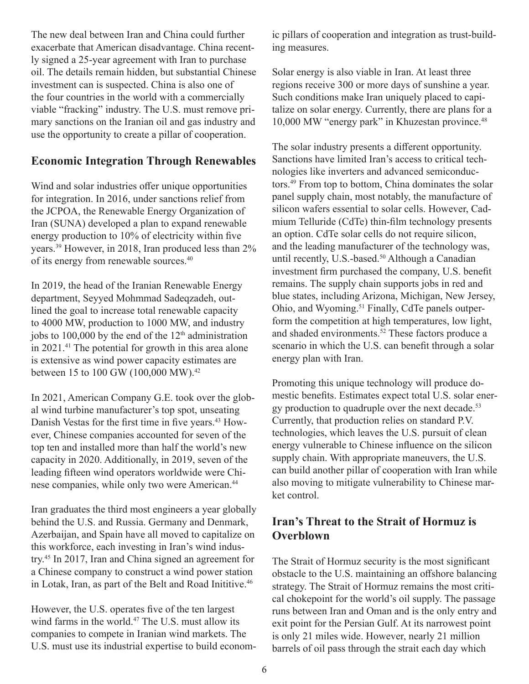The new deal between Iran and China could further exacerbate that American disadvantage. China recently signed a 25-year agreement with Iran to purchase oil. The details remain hidden, but substantial Chinese investment can is suspected. China is also one of the four countries in the world with a commercially viable "fracking" industry. The U.S. must remove primary sanctions on the Iranian oil and gas industry and use the opportunity to create a pillar of cooperation.

#### **Economic Integration Through Renewables**

Wind and solar industries offer unique opportunities for integration. In 2016, under sanctions relief from the JCPOA, the Renewable Energy Organization of Iran (SUNA) developed a plan to expand renewable energy production to 10% of electricity within five years.39 However, in 2018, Iran produced less than 2% of its energy from renewable sources.<sup>40</sup>

In 2019, the head of the Iranian Renewable Energy department, Seyyed Mohmmad Sadeqzadeh, outlined the goal to increase total renewable capacity to 4000 MW, production to 1000 MW, and industry jobs to 100,000 by the end of the  $12<sup>th</sup>$  administration in 2021.41 The potential for growth in this area alone is extensive as wind power capacity estimates are between 15 to 100 GW (100,000 MW).<sup>42</sup>

In 2021, American Company G.E. took over the global wind turbine manufacturer's top spot, unseating Danish Vestas for the first time in five years.43 However, Chinese companies accounted for seven of the top ten and installed more than half the world's new capacity in 2020. Additionally, in 2019, seven of the leading fifteen wind operators worldwide were Chinese companies, while only two were American.<sup>44</sup>

Iran graduates the third most engineers a year globally behind the U.S. and Russia. Germany and Denmark, Azerbaijan, and Spain have all moved to capitalize on this workforce, each investing in Iran's wind industry.45 In 2017, Iran and China signed an agreement for a Chinese company to construct a wind power station in Lotak, Iran, as part of the Belt and Road Inititive.<sup>46</sup>

However, the U.S. operates five of the ten largest wind farms in the world.<sup>47</sup> The U.S. must allow its companies to compete in Iranian wind markets. The U.S. must use its industrial expertise to build economic pillars of cooperation and integration as trust-building measures.

Solar energy is also viable in Iran. At least three regions receive 300 or more days of sunshine a year. Such conditions make Iran uniquely placed to capitalize on solar energy. Currently, there are plans for a 10,000 MW "energy park" in Khuzestan province.<sup>48</sup>

The solar industry presents a different opportunity. Sanctions have limited Iran's access to critical technologies like inverters and advanced semiconductors.49 From top to bottom, China dominates the solar panel supply chain, most notably, the manufacture of silicon wafers essential to solar cells. However, Cadmium Telluride (CdTe) thin-film technology presents an option. CdTe solar cells do not require silicon, and the leading manufacturer of the technology was, until recently, U.S.-based.<sup>50</sup> Although a Canadian investment firm purchased the company, U.S. benefit remains. The supply chain supports jobs in red and blue states, including Arizona, Michigan, New Jersey, Ohio, and Wyoming.<sup>51</sup> Finally, CdTe panels outperform the competition at high temperatures, low light, and shaded environments.<sup>52</sup> These factors produce a scenario in which the U.S. can benefit through a solar energy plan with Iran.

Promoting this unique technology will produce domestic benefits. Estimates expect total U.S. solar energy production to quadruple over the next decade.<sup>53</sup> Currently, that production relies on standard P.V. technologies, which leaves the U.S. pursuit of clean energy vulnerable to Chinese influence on the silicon supply chain. With appropriate maneuvers, the U.S. can build another pillar of cooperation with Iran while also moving to mitigate vulnerability to Chinese market control.

#### **Iran's Threat to the Strait of Hormuz is Overblown**

The Strait of Hormuz security is the most significant obstacle to the U.S. maintaining an offshore balancing strategy. The Strait of Hormuz remains the most critical chokepoint for the world's oil supply. The passage runs between Iran and Oman and is the only entry and exit point for the Persian Gulf. At its narrowest point is only 21 miles wide. However, nearly 21 million barrels of oil pass through the strait each day which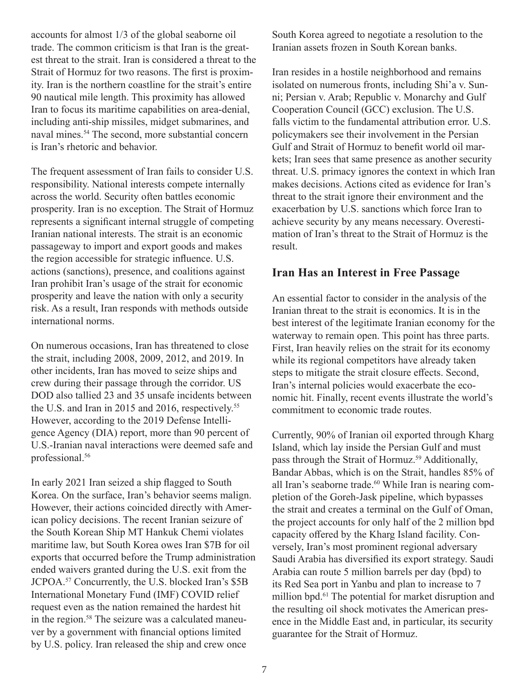accounts for almost 1/3 of the global seaborne oil trade. The common criticism is that Iran is the greatest threat to the strait. Iran is considered a threat to the Strait of Hormuz for two reasons. The first is proximity. Iran is the northern coastline for the strait's entire 90 nautical mile length. This proximity has allowed Iran to focus its maritime capabilities on area-denial, including anti-ship missiles, midget submarines, and naval mines.<sup>54</sup> The second, more substantial concern is Iran's rhetoric and behavior.

The frequent assessment of Iran fails to consider U.S. responsibility. National interests compete internally across the world. Security often battles economic prosperity. Iran is no exception. The Strait of Hormuz represents a significant internal struggle of competing Iranian national interests. The strait is an economic passageway to import and export goods and makes the region accessible for strategic influence. U.S. actions (sanctions), presence, and coalitions against Iran prohibit Iran's usage of the strait for economic prosperity and leave the nation with only a security risk. As a result, Iran responds with methods outside international norms.

On numerous occasions, Iran has threatened to close the strait, including 2008, 2009, 2012, and 2019. In other incidents, Iran has moved to seize ships and crew during their passage through the corridor. US DOD also tallied 23 and 35 unsafe incidents between the U.S. and Iran in 2015 and 2016, respectively.<sup>55</sup> However, according to the 2019 Defense Intelligence Agency (DIA) report, more than 90 percent of U.S.-Iranian naval interactions were deemed safe and professional.<sup>56</sup>

In early 2021 Iran seized a ship flagged to South Korea. On the surface, Iran's behavior seems malign. However, their actions coincided directly with American policy decisions. The recent Iranian seizure of the South Korean Ship MT Hankuk Chemi violates maritime law, but South Korea owes Iran \$7B for oil exports that occurred before the Trump administration ended waivers granted during the U.S. exit from the JCPOA.<sup>57</sup> Concurrently, the U.S. blocked Iran's \$5B International Monetary Fund (IMF) COVID relief request even as the nation remained the hardest hit in the region.<sup>58</sup> The seizure was a calculated maneuver by a government with financial options limited by U.S. policy. Iran released the ship and crew once

South Korea agreed to negotiate a resolution to the Iranian assets frozen in South Korean banks.

Iran resides in a hostile neighborhood and remains isolated on numerous fronts, including Shi'a v. Sunni; Persian v. Arab; Republic v. Monarchy and Gulf Cooperation Council (GCC) exclusion. The U.S. falls victim to the fundamental attribution error. U.S. policymakers see their involvement in the Persian Gulf and Strait of Hormuz to benefit world oil markets; Iran sees that same presence as another security threat. U.S. primacy ignores the context in which Iran makes decisions. Actions cited as evidence for Iran's threat to the strait ignore their environment and the exacerbation by U.S. sanctions which force Iran to achieve security by any means necessary. Overestimation of Iran's threat to the Strait of Hormuz is the result.

#### **Iran Has an Interest in Free Passage**

An essential factor to consider in the analysis of the Iranian threat to the strait is economics. It is in the best interest of the legitimate Iranian economy for the waterway to remain open. This point has three parts. First, Iran heavily relies on the strait for its economy while its regional competitors have already taken steps to mitigate the strait closure effects. Second, Iran's internal policies would exacerbate the economic hit. Finally, recent events illustrate the world's commitment to economic trade routes.

Currently, 90% of Iranian oil exported through Kharg Island, which lay inside the Persian Gulf and must pass through the Strait of Hormuz.<sup>59</sup> Additionally, Bandar Abbas, which is on the Strait, handles 85% of all Iran's seaborne trade.<sup>60</sup> While Iran is nearing completion of the Goreh-Jask pipeline, which bypasses the strait and creates a terminal on the Gulf of Oman, the project accounts for only half of the 2 million bpd capacity offered by the Kharg Island facility. Conversely, Iran's most prominent regional adversary Saudi Arabia has diversified its export strategy. Saudi Arabia can route 5 million barrels per day (bpd) to its Red Sea port in Yanbu and plan to increase to 7 million bpd.<sup>61</sup> The potential for market disruption and the resulting oil shock motivates the American presence in the Middle East and, in particular, its security guarantee for the Strait of Hormuz.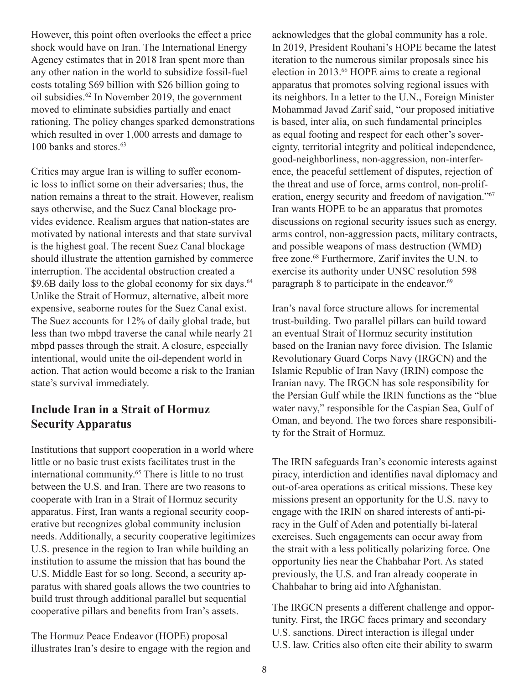However, this point often overlooks the effect a price shock would have on Iran. The International Energy Agency estimates that in 2018 Iran spent more than any other nation in the world to subsidize fossil-fuel costs totaling \$69 billion with \$26 billion going to oil subsidies.<sup>62</sup> In November 2019, the government moved to eliminate subsidies partially and enact rationing. The policy changes sparked demonstrations which resulted in over 1,000 arrests and damage to 100 banks and stores.<sup>63</sup>

Critics may argue Iran is willing to suffer economic loss to inflict some on their adversaries; thus, the nation remains a threat to the strait. However, realism says otherwise, and the Suez Canal blockage provides evidence. Realism argues that nation-states are motivated by national interests and that state survival is the highest goal. The recent Suez Canal blockage should illustrate the attention garnished by commerce interruption. The accidental obstruction created a \$9.6B daily loss to the global economy for six days.<sup>64</sup> Unlike the Strait of Hormuz, alternative, albeit more expensive, seaborne routes for the Suez Canal exist. The Suez accounts for 12% of daily global trade, but less than two mbpd traverse the canal while nearly 21 mbpd passes through the strait. A closure, especially intentional, would unite the oil-dependent world in action. That action would become a risk to the Iranian state's survival immediately.

#### **Include Iran in a Strait of Hormuz Security Apparatus**

Institutions that support cooperation in a world where little or no basic trust exists facilitates trust in the international community.<sup>65</sup> There is little to no trust between the U.S. and Iran. There are two reasons to cooperate with Iran in a Strait of Hormuz security apparatus. First, Iran wants a regional security cooperative but recognizes global community inclusion needs. Additionally, a security cooperative legitimizes U.S. presence in the region to Iran while building an institution to assume the mission that has bound the U.S. Middle East for so long. Second, a security apparatus with shared goals allows the two countries to build trust through additional parallel but sequential cooperative pillars and benefits from Iran's assets.

The Hormuz Peace Endeavor (HOPE) proposal illustrates Iran's desire to engage with the region and acknowledges that the global community has a role. In 2019, President Rouhani's HOPE became the latest iteration to the numerous similar proposals since his election in 2013.66 HOPE aims to create a regional apparatus that promotes solving regional issues with its neighbors. In a letter to the U.N., Foreign Minister Mohammad Javad Zarif said, "our proposed initiative is based, inter alia, on such fundamental principles as equal footing and respect for each other's sovereignty, territorial integrity and political independence, good-neighborliness, non-aggression, non-interference, the peaceful settlement of disputes, rejection of the threat and use of force, arms control, non-proliferation, energy security and freedom of navigation."67 Iran wants HOPE to be an apparatus that promotes discussions on regional security issues such as energy, arms control, non-aggression pacts, military contracts, and possible weapons of mass destruction (WMD) free zone.<sup>68</sup> Furthermore, Zarif invites the U.N. to exercise its authority under UNSC resolution 598 paragraph 8 to participate in the endeavor.<sup>69</sup>

Iran's naval force structure allows for incremental trust-building. Two parallel pillars can build toward an eventual Strait of Hormuz security institution based on the Iranian navy force division. The Islamic Revolutionary Guard Corps Navy (IRGCN) and the Islamic Republic of Iran Navy (IRIN) compose the Iranian navy. The IRGCN has sole responsibility for the Persian Gulf while the IRIN functions as the "blue water navy," responsible for the Caspian Sea, Gulf of Oman, and beyond. The two forces share responsibility for the Strait of Hormuz.

The IRIN safeguards Iran's economic interests against piracy, interdiction and identifies naval diplomacy and out-of-area operations as critical missions. These key missions present an opportunity for the U.S. navy to engage with the IRIN on shared interests of anti-piracy in the Gulf of Aden and potentially bi-lateral exercises. Such engagements can occur away from the strait with a less politically polarizing force. One opportunity lies near the Chahbahar Port. As stated previously, the U.S. and Iran already cooperate in Chahbahar to bring aid into Afghanistan.

The IRGCN presents a different challenge and opportunity. First, the IRGC faces primary and secondary U.S. sanctions. Direct interaction is illegal under U.S. law. Critics also often cite their ability to swarm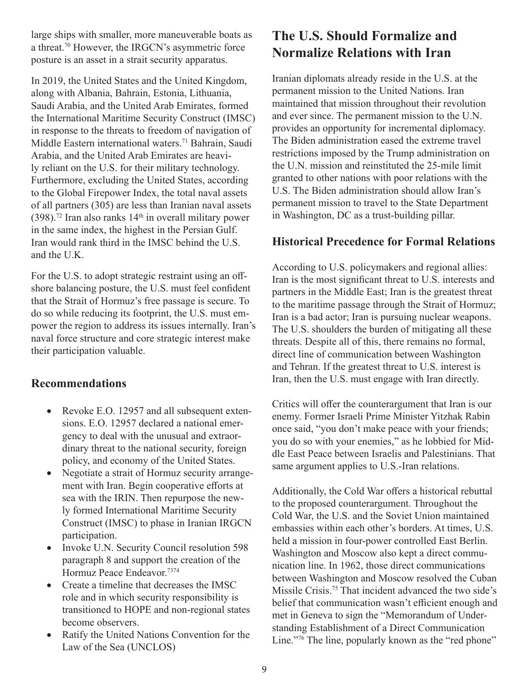large ships with smaller, more maneuverable boats as a threat.70 However, the IRGCN's asymmetric force posture is an asset in a strait security apparatus.

In 2019, the United States and the United Kingdom, along with Albania, Bahrain, Estonia, Lithuania, Saudi Arabia, and the United Arab Emirates, formed the International Maritime Security Construct (IMSC) in response to the threats to freedom of navigation of Middle Eastern international waters.71 Bahrain, Saudi Arabia, and the United Arab Emirates are heavily reliant on the U.S. for their military technology. Furthermore, excluding the United States, according to the Global Firepower Index, the total naval assets of all partners (305) are less than Iranian naval assets  $(398).$ <sup>72</sup> Iran also ranks  $14<sup>th</sup>$  in overall military power in the same index, the highest in the Persian Gulf. Iran would rank third in the IMSC behind the U.S. and the U.K.

For the U.S. to adopt strategic restraint using an offshore balancing posture, the U.S. must feel confident that the Strait of Hormuz's free passage is secure. To do so while reducing its footprint, the U.S. must empower the region to address its issues internally. Iran's naval force structure and core strategic interest make their participation valuable.

#### **Recommendations**

- Revoke E.O. 12957 and all subsequent extensions. E.O. 12957 declared a national emergency to deal with the unusual and extraordinary threat to the national security, foreign policy, and economy of the United States.
- Negotiate a strait of Hormuz security arrangement with Iran. Begin cooperative efforts at sea with the IRIN. Then repurpose the newly formed International Maritime Security Construct (IMSC) to phase in Iranian IRGCN participation.
- Invoke U.N. Security Council resolution 598 paragraph 8 and support the creation of the Hormuz Peace Endeavor.7374
- Create a timeline that decreases the IMSC role and in which security responsibility is transitioned to HOPE and non-regional states become observers.
- Ratify the United Nations Convention for the Law of the Sea (UNCLOS)

# **The U.S. Should Formalize and Normalize Relations with Iran**

Iranian diplomats already reside in the U.S. at the permanent mission to the United Nations. Iran maintained that mission throughout their revolution and ever since. The permanent mission to the U.N. provides an opportunity for incremental diplomacy. The Biden administration eased the extreme travel restrictions imposed by the Trump administration on the U.N. mission and reinstituted the 25-mile limit granted to other nations with poor relations with the U.S. The Biden administration should allow Iran's permanent mission to travel to the State Department in Washington, DC as a trust-building pillar.

#### **Historical Precedence for Formal Relations**

According to U.S. policymakers and regional allies: Iran is the most significant threat to U.S. interests and partners in the Middle East; Iran is the greatest threat to the maritime passage through the Strait of Hormuz; Iran is a bad actor; Iran is pursuing nuclear weapons. The U.S. shoulders the burden of mitigating all these threats. Despite all of this, there remains no formal, direct line of communication between Washington and Tehran. If the greatest threat to U.S. interest is Iran, then the U.S. must engage with Iran directly.

Critics will offer the counterargument that Iran is our enemy. Former Israeli Prime Minister Yitzhak Rabin once said, "you don't make peace with your friends; you do so with your enemies," as he lobbied for Middle East Peace between Israelis and Palestinians. That same argument applies to U.S.-Iran relations.

Additionally, the Cold War offers a historical rebuttal to the proposed counterargument. Throughout the Cold War, the U.S. and the Soviet Union maintained embassies within each other's borders. At times, U.S. held a mission in four-power controlled East Berlin. Washington and Moscow also kept a direct communication line. In 1962, those direct communications between Washington and Moscow resolved the Cuban Missile Crisis.75 That incident advanced the two side's belief that communication wasn't efficient enough and met in Geneva to sign the "Memorandum of Understanding Establishment of a Direct Communication Line."<sup>76</sup> The line, popularly known as the "red phone"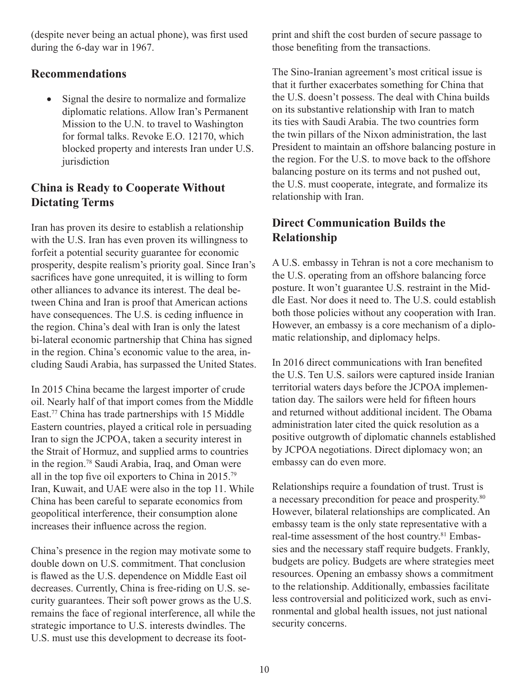(despite never being an actual phone), was first used during the 6-day war in 1967.

#### **Recommendations**

Signal the desire to normalize and formalize diplomatic relations. Allow Iran's Permanent Mission to the U.N. to travel to Washington for formal talks. Revoke E.O. 12170, which blocked property and interests Iran under U.S. jurisdiction

#### **China is Ready to Cooperate Without Dictating Terms**

Iran has proven its desire to establish a relationship with the U.S. Iran has even proven its willingness to forfeit a potential security guarantee for economic prosperity, despite realism's priority goal. Since Iran's sacrifices have gone unrequited, it is willing to form other alliances to advance its interest. The deal between China and Iran is proof that American actions have consequences. The U.S. is ceding influence in the region. China's deal with Iran is only the latest bi-lateral economic partnership that China has signed in the region. China's economic value to the area, including Saudi Arabia, has surpassed the United States.

In 2015 China became the largest importer of crude oil. Nearly half of that import comes from the Middle East.77 China has trade partnerships with 15 Middle Eastern countries, played a critical role in persuading Iran to sign the JCPOA, taken a security interest in the Strait of Hormuz, and supplied arms to countries in the region.78 Saudi Arabia, Iraq, and Oman were all in the top five oil exporters to China in 2015.79 Iran, Kuwait, and UAE were also in the top 11. While China has been careful to separate economics from geopolitical interference, their consumption alone increases their influence across the region.

China's presence in the region may motivate some to double down on U.S. commitment. That conclusion is flawed as the U.S. dependence on Middle East oil decreases. Currently, China is free-riding on U.S. security guarantees. Their soft power grows as the U.S. remains the face of regional interference, all while the strategic importance to U.S. interests dwindles. The U.S. must use this development to decrease its footprint and shift the cost burden of secure passage to those benefiting from the transactions.

The Sino-Iranian agreement's most critical issue is that it further exacerbates something for China that the U.S. doesn't possess. The deal with China builds on its substantive relationship with Iran to match its ties with Saudi Arabia. The two countries form the twin pillars of the Nixon administration, the last President to maintain an offshore balancing posture in the region. For the U.S. to move back to the offshore balancing posture on its terms and not pushed out, the U.S. must cooperate, integrate, and formalize its relationship with Iran.

#### **Direct Communication Builds the Relationship**

A U.S. embassy in Tehran is not a core mechanism to the U.S. operating from an offshore balancing force posture. It won't guarantee U.S. restraint in the Middle East. Nor does it need to. The U.S. could establish both those policies without any cooperation with Iran. However, an embassy is a core mechanism of a diplomatic relationship, and diplomacy helps.

In 2016 direct communications with Iran benefited the U.S. Ten U.S. sailors were captured inside Iranian territorial waters days before the JCPOA implementation day. The sailors were held for fifteen hours and returned without additional incident. The Obama administration later cited the quick resolution as a positive outgrowth of diplomatic channels established by JCPOA negotiations. Direct diplomacy won; an embassy can do even more.

Relationships require a foundation of trust. Trust is a necessary precondition for peace and prosperity.<sup>80</sup> However, bilateral relationships are complicated. An embassy team is the only state representative with a real-time assessment of the host country.<sup>81</sup> Embassies and the necessary staff require budgets. Frankly, budgets are policy. Budgets are where strategies meet resources. Opening an embassy shows a commitment to the relationship. Additionally, embassies facilitate less controversial and politicized work, such as environmental and global health issues, not just national security concerns.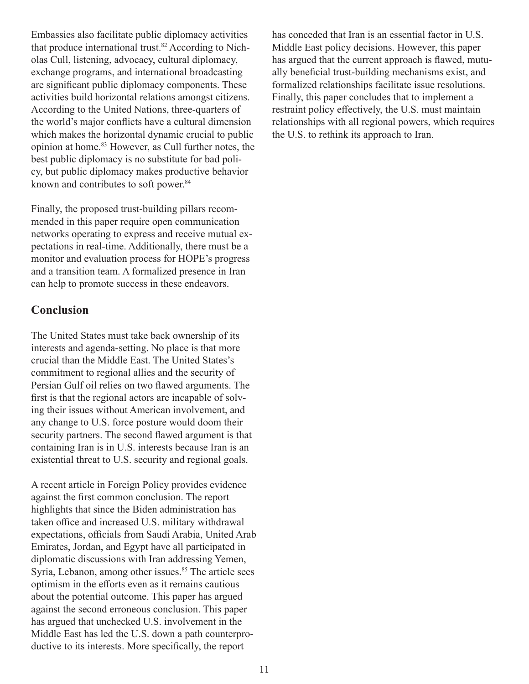Embassies also facilitate public diplomacy activities that produce international trust.<sup>82</sup> According to Nicholas Cull, listening, advocacy, cultural diplomacy, exchange programs, and international broadcasting are significant public diplomacy components. These activities build horizontal relations amongst citizens. According to the United Nations, three-quarters of the world's major conflicts have a cultural dimension which makes the horizontal dynamic crucial to public opinion at home.<sup>83</sup> However, as Cull further notes, the best public diplomacy is no substitute for bad policy, but public diplomacy makes productive behavior known and contributes to soft power.<sup>84</sup>

Finally, the proposed trust-building pillars recommended in this paper require open communication networks operating to express and receive mutual expectations in real-time. Additionally, there must be a monitor and evaluation process for HOPE's progress and a transition team. A formalized presence in Iran can help to promote success in these endeavors.

#### **Conclusion**

The United States must take back ownership of its interests and agenda-setting. No place is that more crucial than the Middle East. The United States's commitment to regional allies and the security of Persian Gulf oil relies on two flawed arguments. The first is that the regional actors are incapable of solving their issues without American involvement, and any change to U.S. force posture would doom their security partners. The second flawed argument is that containing Iran is in U.S. interests because Iran is an existential threat to U.S. security and regional goals.

A recent article in Foreign Policy provides evidence against the first common conclusion. The report highlights that since the Biden administration has taken office and increased U.S. military withdrawal expectations, officials from Saudi Arabia, United Arab Emirates, Jordan, and Egypt have all participated in diplomatic discussions with Iran addressing Yemen, Syria, Lebanon, among other issues.<sup>85</sup> The article sees optimism in the efforts even as it remains cautious about the potential outcome. This paper has argued against the second erroneous conclusion. This paper has argued that unchecked U.S. involvement in the Middle East has led the U.S. down a path counterproductive to its interests. More specifically, the report

has conceded that Iran is an essential factor in U.S. Middle East policy decisions. However, this paper has argued that the current approach is flawed, mutually beneficial trust-building mechanisms exist, and formalized relationships facilitate issue resolutions. Finally, this paper concludes that to implement a restraint policy effectively, the U.S. must maintain relationships with all regional powers, which requires the U.S. to rethink its approach to Iran.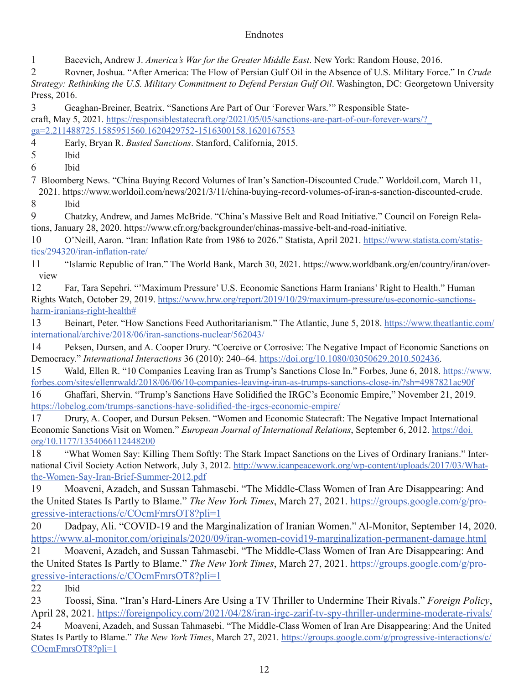#### **Endnotes**

1 Bacevich, Andrew J. *America's War for the Greater Middle East*. New York: Random House, 2016.

2 Rovner, Joshua. "After America: The Flow of Persian Gulf Oil in the Absence of U.S. Military Force." In *Crude Strategy: Rethinking the U.S. Military Commitment to Defend Persian Gulf Oil*. Washington, DC: Georgetown University Press, 2016.

3 Geaghan-Breiner, Beatrix. "Sanctions Are Part of Our 'Forever Wars.'" Responsible Statecraft, May 5, 2021. https://responsiblestatecraft.org/2021/05/05/sanctions-are-part-of-our-forever-wars/?\_ ga=2.211488725.1585951560.1620429752-1516300158.1620167553

4 Early, Bryan R. *Busted Sanctions*. Stanford, California, 2015.

5 Ibid

6 Ibid

7 Bloomberg News. "China Buying Record Volumes of Iran's Sanction-Discounted Crude." Worldoil.com, March 11, 2021. https://www.worldoil.com/news/2021/3/11/china-buying-record-volumes-of-iran-s-sanction-discounted-crude.

8 Ibid

9 Chatzky, Andrew, and James McBride. "China's Massive Belt and Road Initiative." Council on Foreign Relations, January 28, 2020. https://www.cfr.org/backgrounder/chinas-massive-belt-and-road-initiative.

10 O'Neill, Aaron. "Iran: Inflation Rate from 1986 to 2026." Statista, April 2021. https://www.statista.com/statistics/294320/iran-inflation-rate/

11 "Islamic Republic of Iran." The World Bank, March 30, 2021. https://www.worldbank.org/en/country/iran/overview

12 Far, Tara Sepehri. "'Maximum Pressure' U.S. Economic Sanctions Harm Iranians' Right to Health." Human Rights Watch, October 29, 2019. https://www.hrw.org/report/2019/10/29/maximum-pressure/us-economic-sanctionsharm-iranians-right-health#

13 Beinart, Peter. "How Sanctions Feed Authoritarianism." The Atlantic, June 5, 2018. https://www.theatlantic.com/ international/archive/2018/06/iran-sanctions-nuclear/562043/

14 Peksen, Dursen, and A. Cooper Drury. "Coercive or Corrosive: The Negative Impact of Economic Sanctions on Democracy." *International Interactions* 36 (2010): 240–64. https://doi.org/10.1080/03050629.2010.502436.

15 Wald, Ellen R. "10 Companies Leaving Iran as Trump's Sanctions Close In." Forbes, June 6, 2018. https://www. forbes.com/sites/ellenrwald/2018/06/06/10-companies-leaving-iran-as-trumps-sanctions-close-in/?sh=4987821ac90f

16 Ghaffari, Shervin. "Trump's Sanctions Have Solidified the IRGC's Economic Empire," November 21, 2019. https://lobelog.com/trumps-sanctions-have-solidified-the-irgcs-economic-empire/

17 Drury, A. Cooper, and Dursun Peksen. "Women and Economic Statecraft: The Negative Impact International Economic Sanctions Visit on Women." *European Journal of International Relations*, September 6, 2012. https://doi. org/10.1177/1354066112448200

18 "What Women Say: Killing Them Softly: The Stark Impact Sanctions on the Lives of Ordinary Iranians." International Civil Society Action Network, July 3, 2012. http://www.icanpeacework.org/wp-content/uploads/2017/03/Whatthe-Women-Say-Iran-Brief-Summer-2012.pdf

19 Moaveni, Azadeh, and Sussan Tahmasebi. "The Middle-Class Women of Iran Are Disappearing: And the United States Is Partly to Blame." *The New York Times*, March 27, 2021. https://groups.google.com/g/progressive-interactions/c/COcmFmrsOT8?pli=1

20 Dadpay, Ali. "COVID-19 and the Marginalization of Iranian Women." Al-Monitor, September 14, 2020. https://www.al-monitor.com/originals/2020/09/iran-women-covid19-marginalization-permanent-damage.html 21 Moaveni, Azadeh, and Sussan Tahmasebi. "The Middle-Class Women of Iran Are Disappearing: And the United States Is Partly to Blame." *The New York Times*, March 27, 2021. https://groups.google.com/g/progressive-interactions/c/COcmFmrsOT8?pli=1

22 Ibid

23 Toossi, Sina. "Iran's Hard-Liners Are Using a TV Thriller to Undermine Their Rivals." *Foreign Policy*, April 28, 2021. https://foreignpolicy.com/2021/04/28/iran-irgc-zarif-tv-spy-thriller-undermine-moderate-rivals/ 24 Moaveni, Azadeh, and Sussan Tahmasebi. "The Middle-Class Women of Iran Are Disappearing: And the United States Is Partly to Blame." *The New York Times*, March 27, 2021. https://groups.google.com/g/progressive-interactions/c/ COcmFmrsOT8?pli=1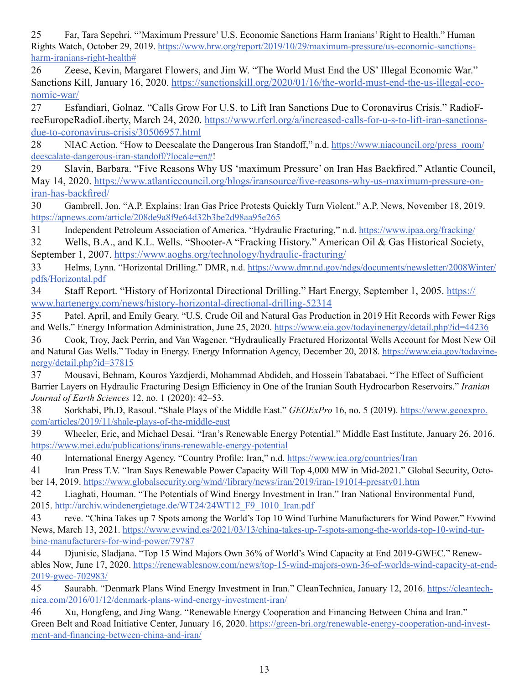25 Far, Tara Sepehri. "'Maximum Pressure' U.S. Economic Sanctions Harm Iranians' Right to Health." Human Rights Watch, October 29, 2019. https://www.hrw.org/report/2019/10/29/maximum-pressure/us-economic-sanctionsharm-iranians-right-health#

26 Zeese, Kevin, Margaret Flowers, and Jim W. "The World Must End the US' Illegal Economic War." Sanctions Kill, January 16, 2020. https://sanctionskill.org/2020/01/16/the-world-must-end-the-us-illegal-economic-war/

27 Esfandiari, Golnaz. "Calls Grow For U.S. to Lift Iran Sanctions Due to Coronavirus Crisis." RadioFreeEuropeRadioLiberty, March 24, 2020. https://www.rferl.org/a/increased-calls-for-u-s-to-lift-iran-sanctionsdue-to-coronavirus-crisis/30506957.html

28 NIAC Action. "How to Deescalate the Dangerous Iran Standoff," n.d. https://www.niacouncil.org/press\_room/ deescalate-dangerous-iran-standoff/?locale=en#!

29 Slavin, Barbara. "Five Reasons Why US 'maximum Pressure' on Iran Has Backfired." Atlantic Council, May 14, 2020. https://www.atlanticcouncil.org/blogs/iransource/five-reasons-why-us-maximum-pressure-oniran-has-backfired/

30 Gambrell, Jon. "A.P. Explains: Iran Gas Price Protests Quickly Turn Violent." A.P. News, November 18, 2019. https://apnews.com/article/208de9a8f9e64d32b3be2d98aa95e265

31 Independent Petroleum Association of America. "Hydraulic Fracturing," n.d. https://www.ipaa.org/fracking/

32 Wells, B.A., and K.L. Wells. "Shooter-A "Fracking History." American Oil & Gas Historical Society, September 1, 2007. https://www.aoghs.org/technology/hydraulic-fracturing/

33 Helms, Lynn. "Horizontal Drilling." DMR, n.d. https://www.dmr.nd.gov/ndgs/documents/newsletter/2008Winter/ pdfs/Horizontal.pdf

34 Staff Report. "History of Horizontal Directional Drilling." Hart Energy, September 1, 2005. https:// www.hartenergy.com/news/history-horizontal-directional-drilling-52314

35 Patel, April, and Emily Geary. "U.S. Crude Oil and Natural Gas Production in 2019 Hit Records with Fewer Rigs and Wells." Energy Information Administration, June 25, 2020. https://www.eia.gov/todayinenergy/detail.php?id=44236

36 Cook, Troy, Jack Perrin, and Van Wagener. "Hydraulically Fractured Horizontal Wells Account for Most New Oil and Natural Gas Wells." Today in Energy. Energy Information Agency, December 20, 2018. https://www.eia.gov/todayinenergy/detail.php?id=37815

37 Mousavi, Behnam, Kouros Yazdjerdi, Mohammad Abdideh, and Hossein Tabatabaei. "The Effect of Sufficient Barrier Layers on Hydraulic Fracturing Design Efficiency in One of the Iranian South Hydrocarbon Reservoirs." *Iranian Journal of Earth Sciences* 12, no. 1 (2020): 42–53.

38 Sorkhabi, Ph.D, Rasoul. "Shale Plays of the Middle East." *GEOExPro* 16, no. 5 (2019). https://www.geoexpro. com/articles/2019/11/shale-plays-of-the-middle-east

39 Wheeler, Eric, and Michael Desai. "Iran's Renewable Energy Potential." Middle East Institute, January 26, 2016. https://www.mei.edu/publications/irans-renewable-energy-potential

40 International Energy Agency. "Country Profile: Iran," n.d. https://www.iea.org/countries/Iran

41 Iran Press T.V. "Iran Says Renewable Power Capacity Will Top 4,000 MW in Mid-2021." Global Security, October 14, 2019. https://www.globalsecurity.org/wmd//library/news/iran/2019/iran-191014-presstv01.htm

42 Liaghati, Houman. "The Potentials of Wind Energy Investment in Iran." Iran National Environmental Fund, 2015. http://archiv.windenergietage.de/WT24/24WT12\_F9\_1010\_Iran.pdf

43 reve. "China Takes up 7 Spots among the World's Top 10 Wind Turbine Manufacturers for Wind Power." Evwind News, March 13, 2021. https://www.evwind.es/2021/03/13/china-takes-up-7-spots-among-the-worlds-top-10-wind-turbine-manufacturers-for-wind-power/79787

44 Djunisic, Sladjana. "Top 15 Wind Majors Own 36% of World's Wind Capacity at End 2019-GWEC." Renewables Now, June 17, 2020. https://renewablesnow.com/news/top-15-wind-majors-own-36-of-worlds-wind-capacity-at-end-2019-gwec-702983/

45 Saurabh. "Denmark Plans Wind Energy Investment in Iran." CleanTechnica, January 12, 2016. https://cleantechnica.com/2016/01/12/denmark-plans-wind-energy-investment-iran/

46 Xu, Hongfeng, and Jing Wang. "Renewable Energy Cooperation and Financing Between China and Iran." Green Belt and Road Initiative Center, January 16, 2020. https://green-bri.org/renewable-energy-cooperation-and-investment-and-financing-between-china-and-iran/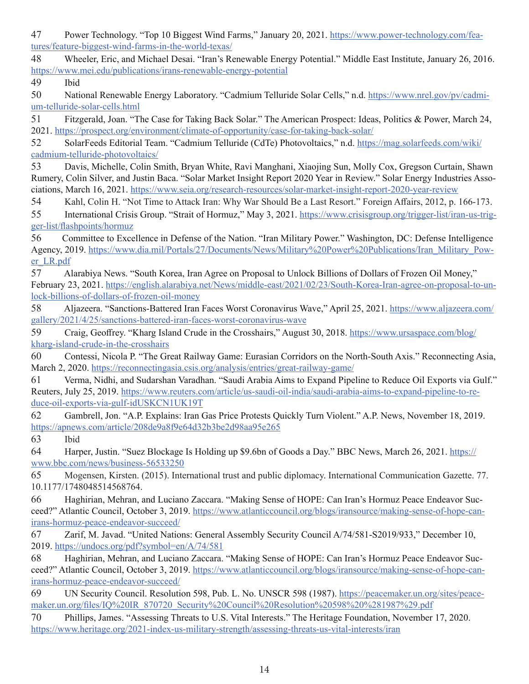47 Power Technology. "Top 10 Biggest Wind Farms," January 20, 2021. https://www.power-technology.com/features/feature-biggest-wind-farms-in-the-world-texas/

48 Wheeler, Eric, and Michael Desai. "Iran's Renewable Energy Potential." Middle East Institute, January 26, 2016. https://www.mei.edu/publications/irans-renewable-energy-potential

49 Ibid

50 National Renewable Energy Laboratory. "Cadmium Telluride Solar Cells," n.d. https://www.nrel.gov/pv/cadmium-telluride-solar-cells.html

51 Fitzgerald, Joan. "The Case for Taking Back Solar." The American Prospect: Ideas, Politics & Power, March 24, 2021. https://prospect.org/environment/climate-of-opportunity/case-for-taking-back-solar/

52 SolarFeeds Editorial Team. "Cadmium Telluride (CdTe) Photovoltaics," n.d. https://mag.solarfeeds.com/wiki/ cadmium-telluride-photovoltaics/

53 Davis, Michelle, Colin Smith, Bryan White, Ravi Manghani, Xiaojing Sun, Molly Cox, Gregson Curtain, Shawn Rumery, Colin Silver, and Justin Baca. "Solar Market Insight Report 2020 Year in Review." Solar Energy Industries Associations, March 16, 2021. https://www.seia.org/research-resources/solar-market-insight-report-2020-year-review

54 Kahl, Colin H. "Not Time to Attack Iran: Why War Should Be a Last Resort." Foreign Affairs, 2012, p. 166-173.

55 International Crisis Group. "Strait of Hormuz," May 3, 2021. https://www.crisisgroup.org/trigger-list/iran-us-trigger-list/flashpoints/hormuz

56 Committee to Excellence in Defense of the Nation. "Iran Military Power." Washington, DC: Defense Intelligence Agency, 2019. https://www.dia.mil/Portals/27/Documents/News/Military%20Power%20Publications/Iran\_Military\_Power\_LR.pdf

57 Alarabiya News. "South Korea, Iran Agree on Proposal to Unlock Billions of Dollars of Frozen Oil Money," February 23, 2021. https://english.alarabiya.net/News/middle-east/2021/02/23/South-Korea-Iran-agree-on-proposal-to-unlock-billions-of-dollars-of-frozen-oil-money

58 Aljazeera. "Sanctions-Battered Iran Faces Worst Coronavirus Wave," April 25, 2021. https://www.aljazeera.com/ gallery/2021/4/25/sanctions-battered-iran-faces-worst-coronavirus-wave

59 Craig, Geoffrey. "Kharg Island Crude in the Crosshairs," August 30, 2018. https://www.ursaspace.com/blog/ kharg-island-crude-in-the-crosshairs

60 Contessi, Nicola P. "The Great Railway Game: Eurasian Corridors on the North-South Axis." Reconnecting Asia, March 2, 2020. https://reconnectingasia.csis.org/analysis/entries/great-railway-game/

61 Verma, Nidhi, and Sudarshan Varadhan. "Saudi Arabia Aims to Expand Pipeline to Reduce Oil Exports via Gulf." Reuters, July 25, 2019. https://www.reuters.com/article/us-saudi-oil-india/saudi-arabia-aims-to-expand-pipeline-to-reduce-oil-exports-via-gulf-idUSKCN1UK19T

62 Gambrell, Jon. "A.P. Explains: Iran Gas Price Protests Quickly Turn Violent." A.P. News, November 18, 2019. https://apnews.com/article/208de9a8f9e64d32b3be2d98aa95e265

63 Ibid

64 Harper, Justin. "Suez Blockage Is Holding up \$9.6bn of Goods a Day." BBC News, March 26, 2021. https:// www.bbc.com/news/business-56533250

65 Mogensen, Kirsten. (2015). International trust and public diplomacy. International Communication Gazette. 77. 10.1177/1748048514568764.

66 Haghirian, Mehran, and Luciano Zaccara. "Making Sense of HOPE: Can Iran's Hormuz Peace Endeavor Succeed?" Atlantic Council, October 3, 2019. https://www.atlanticcouncil.org/blogs/iransource/making-sense-of-hope-canirans-hormuz-peace-endeavor-succeed/

67 Zarif, M. Javad. "United Nations: General Assembly Security Council A/74/581-S2019/933," December 10, 2019. https://undocs.org/pdf?symbol=en/A/74/581

68 Haghirian, Mehran, and Luciano Zaccara. "Making Sense of HOPE: Can Iran's Hormuz Peace Endeavor Succeed?" Atlantic Council, October 3, 2019. https://www.atlanticcouncil.org/blogs/iransource/making-sense-of-hope-canirans-hormuz-peace-endeavor-succeed/

69 UN Security Council. Resolution 598, Pub. L. No. UNSCR 598 (1987). https://peacemaker.un.org/sites/peacemaker.un.org/files/IQ%20IR\_870720\_Security%20Council%20Resolution%20598%20%281987%29.pdf

70 Phillips, James. "Assessing Threats to U.S. Vital Interests." The Heritage Foundation, November 17, 2020. https://www.heritage.org/2021-index-us-military-strength/assessing-threats-us-vital-interests/iran